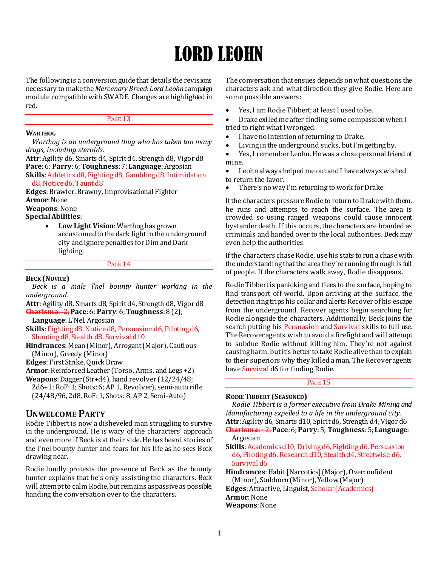# LORD LEOHN

The following is a conversion guide that details the revisions necessary to make the *Mercenary Breed: Lord Leohn*campaign module compatible with SWADE. Changes are highlighted in red.

# PAGE 13

## **WARTHOG**

*Warthog is an underground thug who has taken too many drugs, including steroids.*

**Attr**: Agility d6, Smarts d4, Spirit d4, Strength d8, Vigor d8 **Pace**: 6; **Parry**: 6; **Toughness**: 7; **Language**: Argosian

**Skills**: Athletics d8, Fighting d8, Gambling d8, Intimidation d8, Notice d6, Taunt d8

**Edges**: Brawler, Brawny, Improvisational Fighter **Armor**: None

**Weapons**: None

**Special Abilities**:

 **Low Light Vision**: Warthog has grown accustomed to the dark light in the underground city and ignore penalties for Dim and Dark lighting.

#### PAGE 14

#### **BECK (NOVICE)**

*Beck is a male l'nel bounty hunter working in the underground.*

**Attr**: Agility d8, Smarts d8, Spirit d4, Strength d8, Vigor d8 **Charisma**: -2;**Pace**: 6; **Parry**: 6; **Toughness**: 8 (2);

**Language**: L'Nel, Argosian

**Skills**: Fighting d8, Notice d8, Persuasion d6, Piloting d6, Shooting d8, Stealth d8, Survival d10

**Hindrances**: Mean (Minor), Arrogant (Major), Cautious (Minor), Greedy (Minor)

**Edges**: First Strike, Quick Draw

**Armor**: Reinforced Leather (Torso, Arms, and Legs +2)

**Weapons**: Dagger (Str+d4), hand revolver (12/24/48; 2d6+1; RoF: 1; Shots: 6; AP 1, Revolver), semi-auto rifle (24/48/96, 2d8, RoF: 1, Shots: 8, AP 2, Semi-Auto)

# **UNWELCOME PARTY**

Rodie Tibbert is now a disheveled man struggling to survive in the underground. He is wary of the characters' approach and even more if Beck is at their side. He has heard stories of the l'nel bounty hunter and fears for his life as he sees Beck drawing near.

Rodie loudly protests the presence of Beck as the bounty hunter explains that he's only assisting the characters. Beck will attempt to calm Rodie, but remains as passive as possible, handing the conversation over to the characters.

The conversation that ensues depends on what questions the characters ask and what direction they give Rodie. Here are some possible answers:

Yes, I am Rodie Tibbert; at least I used to be.

 Drake exiled me after finding some compassion when I tried to right what I wronged.

- I have no intention of returning to Drake.
- Living in the underground sucks, but I'm getting by.
- Yes, I remember Leohn. He was a close personal friend of mine.

 Leohn always helped me out and I have always wished to return the favor.

There's no way I'm returning to work for Drake.

If the characters pressure Rodie to return to Drake with them, he runs and attempts to reach the surface. The area is crowded so using ranged weapons could cause innocent bystander death. If this occurs, the characters are branded as criminals and handed over to the local authorities. Beck may even help the authorities.

If the characters chase Rodie, use his stats to run a chase with the understanding that the area they're running through is full of people. If the characters walk away, Rodie disappears.

Rodie Tibbert is panicking and flees to the surface, hoping to find transport off-world. Upon arriving at the surface, the detection ring trips his collar and alerts Recover of his escape from the underground. Recover agents begin searching for Rodie alongside the characters. Additionally, Beck joins the search putting his Persuasion and Survival skills to full use. The Recover agents wish to avoid a firefight and will attempt to subdue Rodie without killing him. They're not against causing harm, but it's better to take Rodie alive than to explain to their superiors why they killed a man. The Recover agents have Survival d6 for finding Rodie.

# PAGE 15

# **RODIE TIBBERT (SEASONED)**

*Rodie Tibbert is a former executive from Drake Mining and Manufacturing expelled to a life in the underground city.* **Attr**: Agility d6, Smarts d10, Spirit d6, Strength d4, Vigor d6 **Charisma**: +2; **Pace**: 6; **Parry**: 5; **Toughness**:5; **Language**:

Argosian

**Skills**: Academics d10, Driving d6, Fighting d6, Persuasion d6, Piloting d6, Research d10, Stealth d4, Streetwise d6, Survival d6

**Hindrances**: Habit [Narcotics] (Major), Overconfident (Minor), Stubborn (Minor), Yellow (Major)

**Edges**: Attractive, Linguist, Scholar (Academics)

**Armor**: None

**Weapons**: None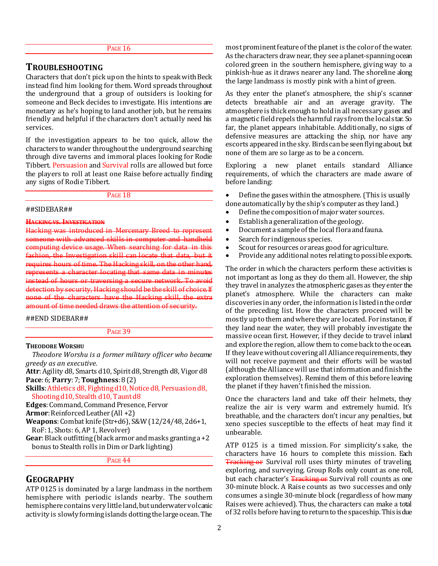#### PAGE 16

# **TROUBLESHOOTING**

Characters that don't pick up on the hints to speak with Beck instead find him looking for them. Word spreads throughout the underground that a group of outsiders is looking for someone and Beck decides to investigate. His intentions are monetary as he's hoping to land another job, but he remains friendly and helpful if the characters don't actually need his services.

If the investigation appears to be too quick, allow the characters to wander throughout the underground searching through dive taverns and immoral places looking for Rodie Tibbert. Persuasion and Survival rolls are allowed but force the players to roll at least one Raise before actually finding any signs of Rodie Tibbert.

PAGE 18

#### ##SIDEBAR##

**HACKING VS. INVESTIGATION**

Hacking was introduced in someone with advanced skills in computer and handheld computing device usage. When searching for data in this fashion, the Investigation skill can locate that data, but it requires hours of time. The Hacking skill, on the other hand, represents a character locating that same data in minutes instead of hours or traversing a secure network. To avoid detection by security, Hacking should be the skill of choice. If none of the characters have the Hacking skill, the extra amount of time needed draws the attention of security.

## ##END SIDEBAR##

PAGE 39

#### **THEODORE WORSHU**

*Theodore Worshu is a former military officer who became greedy as an executive.* **Attr**: Agility d8, Smarts d10, Spirit d8, Strength d8, Vigor d8

**Pace**: 6; **Parry**: 7; **Toughness**: 8 (2)

**Skills**: Athletics d8, Fighting d10, Notice d8, Persuasion d8, Shooting d10, Stealth d10, Taunt d8

**Edges**: Command, Command Presence, Fervor

**Armor**: Reinforced Leather (All +2)

**Weapons**: Combat knife (Str+d6), S&W (12/24/48, 2d6+1, RoF: 1, Shots: 6, AP 1, Revolver)

**Gear**: Black outfitting (black armor and masks granting a +2 bonus to Stealth rolls in Dim or Dark lighting)

PAGE 44

# **GEOGRAPHY**

ATP 0125 is dominated by a large landmass in the northern hemisphere with periodic islands nearby. The southern hemisphere contains very little land, but underwater volcanic activity is slowly forming islands dotting the large ocean. The

most prominent feature of the planet is the color of the water. As the characters draw near, they see a planet-spanning ocean colored green in the southern hemisphere, giving way to a pinkish-hue as it draws nearer any land. The shoreline along the large landmass is mostly pink with a hint of green.

As they enter the planet's atmosphere, the ship's scanner detects breathable air and an average gravity. The atmosphere is thick enough to hold in all necessary gases and a magnetic field repels the harmful rays from the local star. So far, the planet appears inhabitable. Additionally, no signs of defensive measures are attacking the ship, nor have any escorts appeared in the sky. Birds can be seen flying about, but none of them are so large as to be a concern.

Exploring a new planet entails standard Alliance requirements, of which the characters are made aware of before landing:

- Define the gases within the atmosphere. (This is usually done automatically by the ship's computer as they land.)
- Define the composition of major water sources.
- Establish a generalization of the geology.
- Document a sample of the local flora and fauna.
- Search for indigenous species.
- Scout for resources or areas good for agriculture.
- Provide any additional notes relating to possible exports.

The order in which the characters perform these activities is not important as long as they do them all. However, the ship they travel in analyzes the atmospheric gases as they enter the planet's atmosphere. While the characters can make discoveries in any order, the information is listed in the order of the preceding list. How the characters proceed will be mostly up to them and where they are located. For instance, if they land near the water, they will probably investigate the massive ocean first. However, if they decide to travel inland and explore the region, allow them to come back to the ocean. If they leave without covering all Alliance requirements, they will not receive payment and their efforts will be wasted (although the Alliance will use that information and finish the exploration themselves). Remind them of this before leaving the planet if they haven't finished the mission.

Once the characters land and take off their helmets, they realize the air is very warm and extremely humid. It's breathable, and the characters don't incur any penalties, but xeno species susceptible to the effects of heat may find it unbearable.

ATP 0125 is a timed mission. For simplicity's sake, the characters have 16 hours to complete this mission. Each **Tracking or** Survival roll uses thirty minutes of traveling exploring, and surveying. Group Rolls only count as one roll, but each character's **Tracking or** Survival roll counts as one 30-minute block. A Raise counts as two successes and only consumes a single 30-minute block (regardless of how many Raises were achieved). Thus, the characters can make a total of 32 rolls before having to return to the spaceship. This is due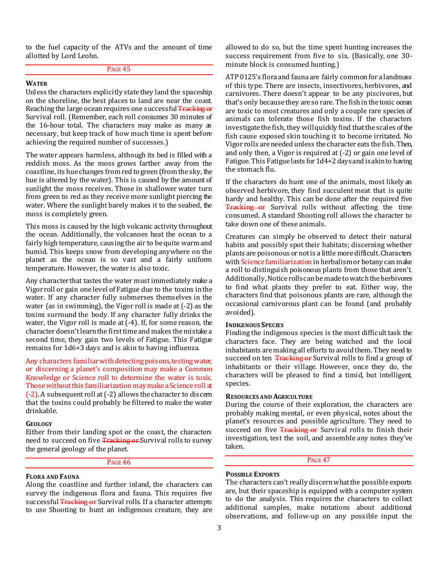to the fuel capacity of the ATVs and the amount of time allotted by Lord Leohn.

PAGE 45

# **WATER**

Unless the characters explicitly state they land the spaceship on the shoreline, the best places to land are near the coast. Reaching the large ocean requires one successful Tracking or Survival roll. (Remember, each roll consumes 30 minutes of the 16-hour total. The characters may make as many as necessary, but keep track of how much time is spent before achieving the required number of successes.)

The water appears harmless, although its bed is filled with a reddish moss. As the moss grows farther away from the coastline, its hue changes from red to green (from the sky, the hue is altered by the water). This is caused by the amount of sunlight the moss receives. Those in shallower water turn from green to red as they receive more sunlight piercing the water. Where the sunlight barely makes it to the seabed, the moss is completely green.

This moss is caused by the high volcanic activity throughout the ocean. Additionally, the volcanoes heat the ocean to a fairly high temperature, causing the air to be quite warm and humid. This keeps snow from developing anywhere on the planet as the ocean is so vast and a fairly uniform temperature. However, the water is also toxic.

Any character that tastes the water must immediately make a Vigor roll or gain one level of Fatigue due to the toxins in the water. If any character fully submerses themselves in the water (as in swimming), the Vigor roll is made at (-2) as the toxins surround the body. If any character fully drinks the water, the Vigor roll is made at (-4). If, for some reason, the character doesn't learn the first time and makes the mistake a second time, they gain two levels of Fatigue. This Fatigue remains for 1d6+3 days and is akin to having influenza.

Any characters familiar with detecting poisons, testing water, or discerning a planet's composition may make a Common Knowledge or Science roll to determine the water is toxic. Those without this familiarization may make a Science roll at (-2). A subsequent roll at (-2) allows the character to discern that the toxins could probably be filtered to make the water drinkable.

#### **GEOLOGY**

Either from their landing spot or the coast, the characters need to succeed on five Tracking or Survival rolls to survey the general geology of the planet.

#### PAGE 46

#### **FLORA AND FAUNA**

Along the coastline and further inland, the characters can survey the indigenous flora and fauna. This requires five successful Tracking or Survival rolls. If a character attempts to use Shooting to hunt an indigenous creature, they are

allowed to do so, but the time spent hunting increases the success requirement from five to six. (Basically, one 30 minute block is consumed hunting.)

ATP 0125's flora and fauna are fairly common for a landmass of this type. There are insects, insectivores, herbivores, and carnivores. There doesn't appear to be any piscivores, but that's only because they are so rare. The fish in the toxic ocean are toxic to most creatures and only a couple rare species of animals can tolerate those fish toxins. If the characters investigate the fish, they will quickly find thatthe scales of the fish cause exposed skin touching it to become irritated. No Vigor rolls are needed unless the character eats the fish. Then, and only then, a Vigor is required at (-2) or gain one level of Fatigue. This Fatigue lasts for 1d4+2 days and is akin to having the stomach flu.

If the characters do hunt one of the animals, most likely an observed herbivore, they find succulent meat that is quite hardy and healthy. This can be done after the required five **Tracking or** Survival rolls without affecting the time consumed. A standard Shooting roll allows the character to take down one of these animals.

Creatures can simply be observed to detect their natural habits and possibly spot their habitats; discerning whether plants are poisonous or not is a little more difficult. Characters with Science familiarization in herbalism or botany can make a roll to distinguish poisonous plants from those that aren't. Additionally, Notice rolls can be made to watch the herbivores to find what plants they prefer to eat. Either way, the characters find that poisonous plants are rare, although the occasional carnivorous plant can be found (and probably avoided).

#### **INDIGENOUS SPECIES**

Finding the indigenous species is the most difficult task the characters face. They are being watched and the local inhabitants are making all efforts to avoid them. They need to succeed on ten Tracking or Survival rolls to find a group of inhabitants or their village. However, once they do, the characters will be pleased to find a timid, but intelligent, species.

#### **RESOURCES AND AGRICULTURE**

During the course of their exploration, the characters are probably making mental, or even physical, notes about the planet's resources and possible agriculture. They need to succeed on five Tracking or Survival rolls to finish their investigation, test the soil, and assemble any notes they've taken.

PAGE 47

# **POSSIBLE EXPORTS**

The characters can't really discern what the possible exports are, but their spaceship is equipped with a computer system to do the analysis. This requires the characters to collect additional samples, make notations about additional observations, and follow-up on any possible input the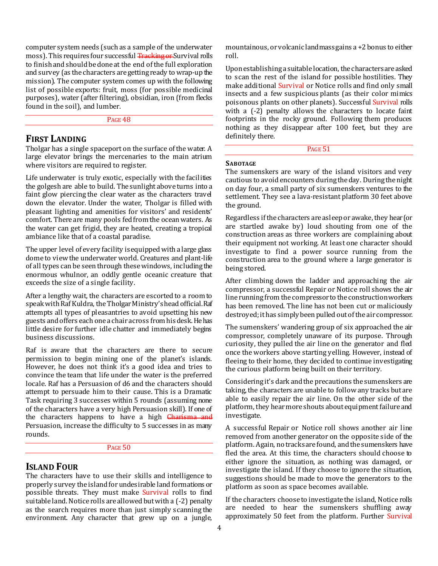computer system needs (such as a sample of the underwater moss). This requires four successful Tracking or Survival rolls to finish and should be done at the end of the full exploration and survey (as the characters are getting ready to wrap-up the mission). The computer system comes up with the following list of possible exports: fruit, moss (for possible medicinal purposes), water (after filtering), obsidian, iron (from flecks found in the soil), and lumber.

PAGE 48

# **FIRST LANDING**

Tholgar has a single spaceport on the surface of the water. A large elevator brings the mercenaries to the main atrium where visitors are required to register.

Life underwater is truly exotic, especially with the facilities the golgesh are able to build. The sunlight above turns into a faint glow piercing the clear water as the characters travel down the elevator. Under the water, Tholgar is filled with pleasant lighting and amenities for visitors' and residents' comfort. There are many pools fed from the ocean waters. As the water can get frigid, they are heated, creating a tropical ambiance like that of a coastal paradise.

The upper level of every facility is equipped with a large glass dome to view the underwater world. Creatures and plant-life of all types can be seen through these windows, including the enormous whulnor, an oddly gentle oceanic creature that exceeds the size of a single facility.

After a lengthy wait, the characters are escorted to a room to speak with Raf Kuldra, the Tholgar Ministry's head official.Raf attempts all types of pleasantries to avoid upsetting his new guests and offers each one a chair across from his desk. He has little desire for further idle chatter and immediately begins business discussions.

Raf is aware that the characters are there to secure permission to begin mining one of the planet's islands. However, he does not think it's a good idea and tries to convince the team that life under the water is the preferred locale. Raf has a Persuasion of d6 and the characters should attempt to persuade him to their cause. This is a Dramatic Task requiring 3 successes within 5 rounds (assuming none of the characters have a very high Persuasion skill). If one of the characters happens to have a high **Charisma and** Persuasion, increase the difficulty to 5 successes in as many rounds.

# PAGE 50

# **ISLAND FOUR**

The characters have to use their skills and intelligence to properly survey the island for undesirable land formations or possible threats. They must make Survival rolls to find suitable land. Notice rolls are allowed but with a (-2) penalty as the search requires more than just simply scanning the environment. Any character that grew up on a jungle,

mountainous, or volcanic landmass gains a +2 bonus to either roll.

Upon establishing a suitable location, the characters are asked to scan the rest of the island for possible hostilities. They make additional Survival or Notice rolls and find only small insects and a few suspicious plants (as their color mimics poisonous plants on other planets). Successful Survival rolls with a  $(-2)$  penalty allows the characters to locate faint footprints in the rocky ground. Following them produces nothing as they disappear after 100 feet, but they are definitely there.

PAGE 51

#### **SABOTAGE**

The sumenskers are wary of the island visitors and very cautious to avoid encounters during the day. During the night on day four, a small party of six sumenskers ventures to the settlement. They see a lava-resistant platform 30 feet above the ground.

Regardless if the characters are asleep or awake, they hear (or are startled awake by) loud shouting from one of the construction areas as three workers are complaining about their equipment not working. At least one character should investigate to find a power source running from the construction area to the ground where a large generator is being stored.

After climbing down the ladder and approaching the air compressor, a successful Repair or Notice roll shows the air line running from the compressor to the construction workers has been removed. The line has not been cut or maliciously destroyed; it has simply been pulled out of the air compressor.

The sumenskers' wandering group of six approached the air compressor, completely unaware of its purpose. Through curiosity, they pulled the air line on the generator and fled once the workers above starting yelling. However, instead of fleeing to their home, they decided to continue investigating the curious platform being built on their territory.

Considering it's dark and the precautions the sumenskers are taking, the characters are unable to follow any tracks but are able to easily repair the air line. On the other side of the platform, they hear more shouts about equipment failure and investigate.

A successful Repair or Notice roll shows another air line removed from another generator on the opposite side of the platform. Again, no tracks are found, and the sumenskers have fled the area. At this time, the characters should choose to either ignore the situation, as nothing was damaged, or investigate the island. If they choose to ignore the situation, suggestions should be made to move the generators to the platform as soon as space becomes available.

If the characters choose to investigate the island, Notice rolls are needed to hear the sumenskers shuffling away approximately 50 feet from the platform. Further Survival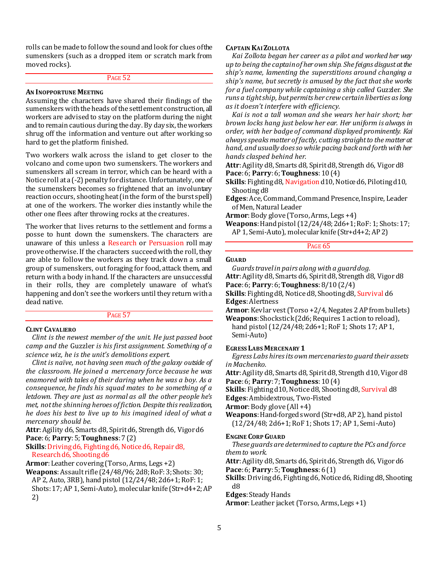rolls can be made to follow the sound and look for clues of the sumenskers (such as a dropped item or scratch mark from moved rocks).

#### PAGE 52

## **AN INOPPORTUNE MEETING**

Assuming the characters have shared their findings of the sumenskers with the heads of the settlement construction, all workers are advised to stay on the platform during the night and to remain cautious during the day. By day six, the workers shrug off the information and venture out after working so hard to get the platform finished.

Two workers walk across the island to get closer to the volcano and come upon two sumenskers. The workers and sumenskers all scream in terror, which can be heard with a Notice roll at a (-2) penalty for distance. Unfortunately, one of the sumenskers becomes so frightened that an involuntary reaction occurs, shooting heat (in the form of the burst spell) at one of the workers. The worker dies instantly while the other one flees after throwing rocks at the creatures.

The worker that lives returns to the settlement and forms a posse to hunt down the sumenskers. The characters are unaware of this unless a Research or Persuasion roll may prove otherwise. If the characters succeed with the roll, they are able to follow the workers as they track down a small group of sumenskers, out foraging for food, attack them, and return with a body in hand. If the characters are unsuccessful in their rolls, they are completely unaware of what's happening and don't see the workers until they return with a dead native.

#### PAGE 57

# **CLINT CAVALIERO**

*Clint is the newest member of the unit. He just passed boot camp and the* Guzzler *is his first assignment. Something of a science wiz, he is the unit's demolitions expert.*

*Clint is naïve, not having seen much of the galaxy outside of the classroom. He joined a mercenary force because he was enamored with tales of their daring when he was a boy. As a consequence, he finds his squad mates to be something of a letdown. They are just as normal as all the other people he's met, not the shinning heroes of fiction. Despite this realization, he does his best to live up to his imagined ideal of what a mercenary should be.*

**Attr**: Agility d6, Smarts d8, Spirit d6, Strength d6, Vigor d6 **Pace**: 6; **Parry**: 5; **Toughness**: 7 (2)

**Skills**: Driving d6, Fighting d6, Notice d6, Repair d8, Research d6, Shooting d6

**Armor**:Leather covering (Torso, Arms, Legs +2)

**Weapons**:Assault rifle (24/48/96; 2d8; RoF: 3; Shots: 30; AP 2, Auto, 3RB), hand pistol (12/24/48; 2d6+1; RoF: 1; Shots: 17; AP 1, Semi-Auto), molecular knife (Str+d4+2; AP 2)

# **CAPTAIN KAI ZOLLOTA**

*Kai Zollota began her career as a pilot and worked her way up to being the captain of her own ship. She feigns disgust at the ship's name, lamenting the superstitions around changing a ship's name, but secretly is amused by the fact that she works for a fuel company while captaining a ship called* Guzzler*. She runs a tight ship, but permits her crew certain liberties as long as it doesn't interfere with efficiency.*

*Kai is not a tall woman and she wears her hair short; her brown locks hang just below her ear. Her uniform is always in order, with her badge of command displayed prominently. Kai always speaks matter of factly, cutting straight to the matter at hand, and usually does so while pacing back and forth with her hands clasped behind her.*

**Attr**: Agility d8, Smarts d8, Spirit d8, Strength d6, Vigor d8 **Pace**: 6; **Parry**: 6; **Toughness**: 10 (4)

**Skills**: Fighting d8, Navigation d10, Notice d6, Piloting d10, Shooting d8

**Edges**:Ace, Command, Command Presence, Inspire, Leader of Men, Natural Leader

Armor: Body glove (Torso, Arms, Legs +4)

**Weapons**:Hand pistol (12/24/48; 2d6+1; RoF: 1; Shots: 17; AP 1, Semi-Auto), molecular knife (Str+d4+2; AP 2)

# PAGE 65

# **GUARD**

*Guards travel in pairs along with a guard dog.*

**Attr**: Agility d8, Smarts d6, Spirit d8, Strength d8, Vigor d8 **Pace**: 6; **Parry**: 6; **Toughness**: 8/10 (2/4)

**Skills**: Fighting d8, Notice d8, Shooting d8, Survival d6 **Edges**: Alertness

Armor: Kevlar vest (Torso +2/4, Negates 2 AP from bullets)

**Weapons**: Shockstick (2d6; Requires 1 action to reload), hand pistol (12/24/48; 2d6+1; RoF 1; Shots 17; AP 1, Semi-Auto)

#### **EGRESS LABS MERCENARY 1**

*Egress Labs hires its own mercenaries to guard their assets in Machenko.*

**Attr**: Agility d8, Smarts d8, Spirit d8, Strength d10, Vigor d8 **Pace**: 6; **Parry**: 7; **Toughness**: 10 (4)

**Skills**: Fighting d10, Notice d8, Shooting d8, Survival d8

**Edges**: Ambidextrous, Two-Fisted

**Armor**: Body glove (All +4)

**Weapons**: Hand-forged sword (Str+d8, AP 2), hand pistol (12/24/48; 2d6+1; RoF 1; Shots 17; AP 1, Semi-Auto)

#### **ENGINE CORP GUARD**

*These guards are determined to capture the PCs and force them to work.*

**Attr**: Agility d8, Smarts d6, Spirit d6, Strength d6, Vigor d6 **Pace**: 6; **Parry**: 5; **Toughness**: 6 (1)

**Skills**: Driving d6, Fighting d6, Notice d6, Riding d8, Shooting d8

**Edges**: Steady Hands

**Armor**:Leather jacket (Torso, Arms, Legs +1)